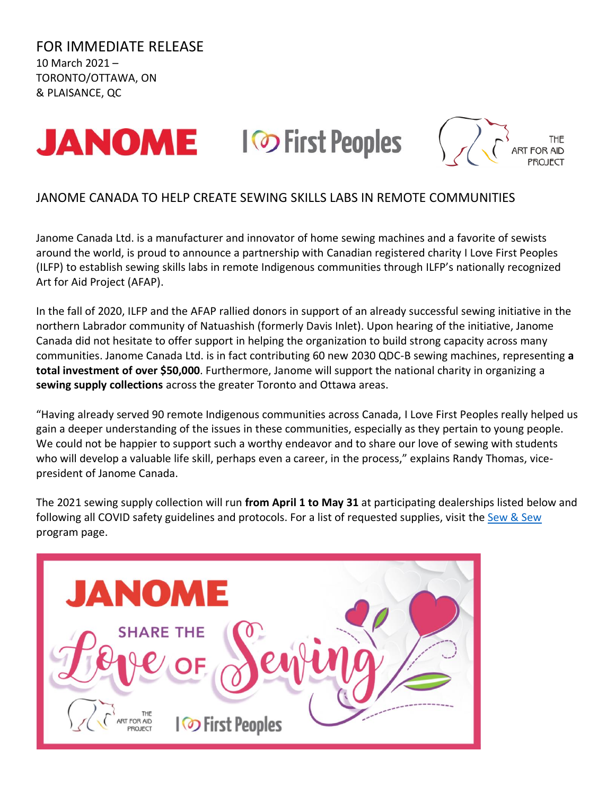FOR IMMEDIATE RELEASE 10 March 2021 – TORONTO/OTTAWA, ON & PLAISANCE, QC







## JANOME CANADA TO HELP CREATE SEWING SKILLS LABS IN REMOTE COMMUNITIES

Janome Canada Ltd. is a manufacturer and innovator of home sewing machines and a favorite of sewists around the world, is proud to announce a partnership with Canadian registered charity I Love First Peoples (ILFP) to establish sewing skills labs in remote Indigenous communities through ILFP's nationally recognized Art for Aid Project (AFAP).

In the fall of 2020, ILFP and the AFAP rallied donors in support of an already successful sewing initiative in the northern Labrador community of Natuashish (formerly Davis Inlet). Upon hearing of the initiative, Janome Canada did not hesitate to offer support in helping the organization to build strong capacity across many communities. Janome Canada Ltd. is in fact contributing 60 new 2030 QDC-B sewing machines, representing **a total investment of over \$50,000**. Furthermore, Janome will support the national charity in organizing a **sewing supply collections** across the greater Toronto and Ottawa areas.

"Having already served 90 remote Indigenous communities across Canada, I Love First Peoples really helped us gain a deeper understanding of the issues in these communities, especially as they pertain to young people. We could not be happier to support such a worthy endeavor and to share our love of sewing with students who will develop a valuable life skill, perhaps even a career, in the process," explains Randy Thomas, vicepresident of Janome Canada.

The 2021 sewing supply collection will run **from April 1 to May 31** at participating dealerships listed below and following all COVID safety guidelines and protocols. For a list of requested supplies, visit the [Sew & Sew](https://www.ilovefirstpeoples.ca/sewandsew) program page.